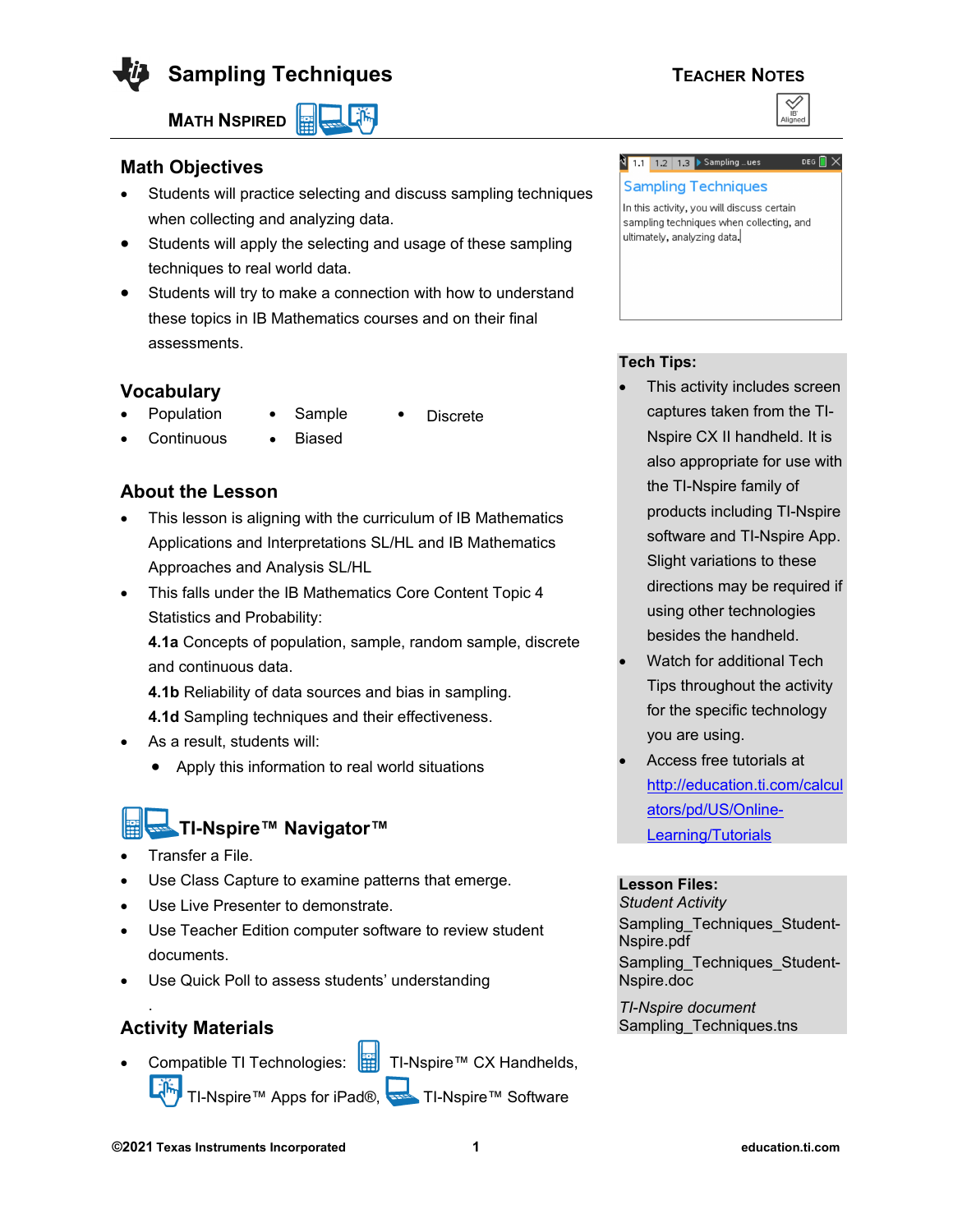

**Sampling Techniques TEACHER NOTES** 

**MATH NSPIRED** 

## **Math Objectives**

- Students will practice selecting and discuss sampling techniques when collecting and analyzing data.
- Students will apply the selecting and usage of these sampling techniques to real world data.
- Students will try to make a connection with how to understand these topics in IB Mathematics courses and on their final assessments.

## **Vocabulary**

- Population Sample Discrete
	-
- 
- 

• Continuous • Biased

## **About the Lesson**

- This lesson is aligning with the curriculum of IB Mathematics Applications and Interpretations SL/HL and IB Mathematics Approaches and Analysis SL/HL
- This falls under the IB Mathematics Core Content Topic 4 Statistics and Probability:

**4.1a** Concepts of population, sample, random sample, discrete and continuous data.

**4.1b** Reliability of data sources and bias in sampling.

**4.1d** Sampling techniques and their effectiveness.

- As a result, students will:
	- Apply this information to real world situations

# **TI-Nspire™ Navigator™**

- Transfer a File.
- Use Class Capture to examine patterns that emerge.
- Use Live Presenter to demonstrate.
- Use Teacher Edition computer software to review student documents.
- Use Quick Poll to assess students' understanding

## **Activity Materials**

.

Compatible TI Technologies: **THE TI-Nspire™ CX Handhelds**, TI-Nspire™ Apps for iPad®, TI-Nspire™ Software



#### <mark>थे 1.1 | 1.2 | 1.3 ▶ Sampling …ues |</mark> DEG  $\blacksquare$   $\times$

#### **Sampling Techniques**

In this activity, you will discuss certain sampling techniques when collecting, and ultimately, analyzing data.

## **Tech Tips:**

- This activity includes screen captures taken from the TI-Nspire CX II handheld. It is also appropriate for use with the TI-Nspire family of products including TI-Nspire software and TI-Nspire App. Slight variations to these directions may be required if using other technologies besides the handheld.
- Watch for additional Tech Tips throughout the activity for the specific technology you are using.
- Access free tutorials at [http://education.ti.com/calcul](http://education.ti.com/calculators/pd/US/Online-Learning/Tutorials) [ators/pd/US/Online-](http://education.ti.com/calculators/pd/US/Online-Learning/Tutorials)**[Learning/Tutorials](http://education.ti.com/calculators/pd/US/Online-Learning/Tutorials)**

#### **Lesson Files:**

*Student Activity* Sampling\_Techniques\_Student-Nspire.pdf Sampling Techniques Student-Nspire.doc

*TI-Nspire document*  Sampling\_Techniques.tns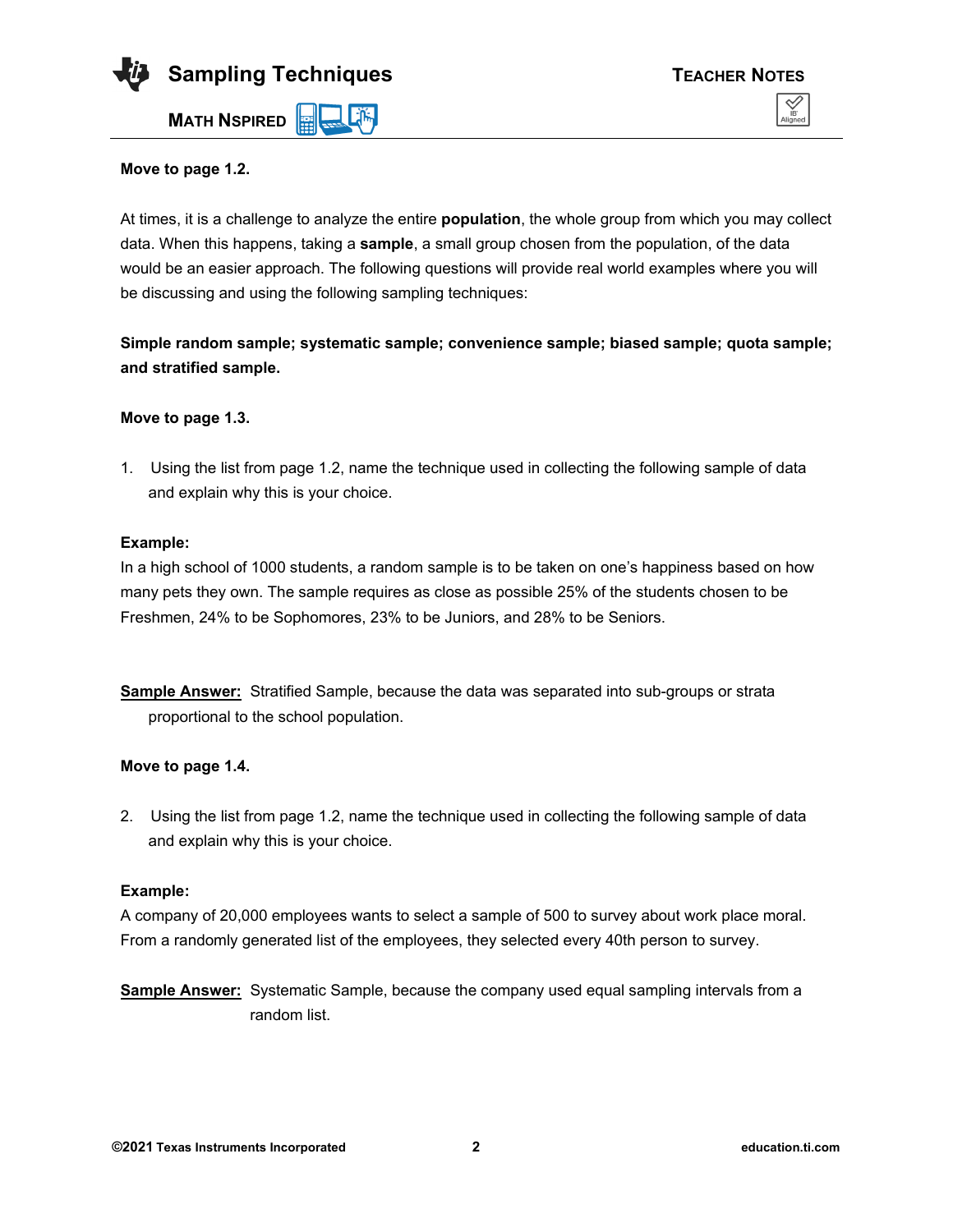

#### **Move to page 1.2.**

At times, it is a challenge to analyze the entire **population**, the whole group from which you may collect data. When this happens, taking a **sample**, a small group chosen from the population, of the data would be an easier approach. The following questions will provide real world examples where you will be discussing and using the following sampling techniques:

**Simple random sample; systematic sample; convenience sample; biased sample; quota sample; and stratified sample.**

#### **Move to page 1.3.**

1. Using the list from page 1.2, name the technique used in collecting the following sample of data and explain why this is your choice.

#### **Example:**

In a high school of 1000 students, a random sample is to be taken on one's happiness based on how many pets they own. The sample requires as close as possible 25% of the students chosen to be Freshmen, 24% to be Sophomores, 23% to be Juniors, and 28% to be Seniors.

**Sample Answer:** Stratified Sample, because the data was separated into sub-groups or strata proportional to the school population.

#### **Move to page 1.4.**

2. Using the list from page 1.2, name the technique used in collecting the following sample of data and explain why this is your choice.

#### **Example:**

A company of 20,000 employees wants to select a sample of 500 to survey about work place moral. From a randomly generated list of the employees, they selected every 40th person to survey.

**Sample Answer:** Systematic Sample, because the company used equal sampling intervals from a random list.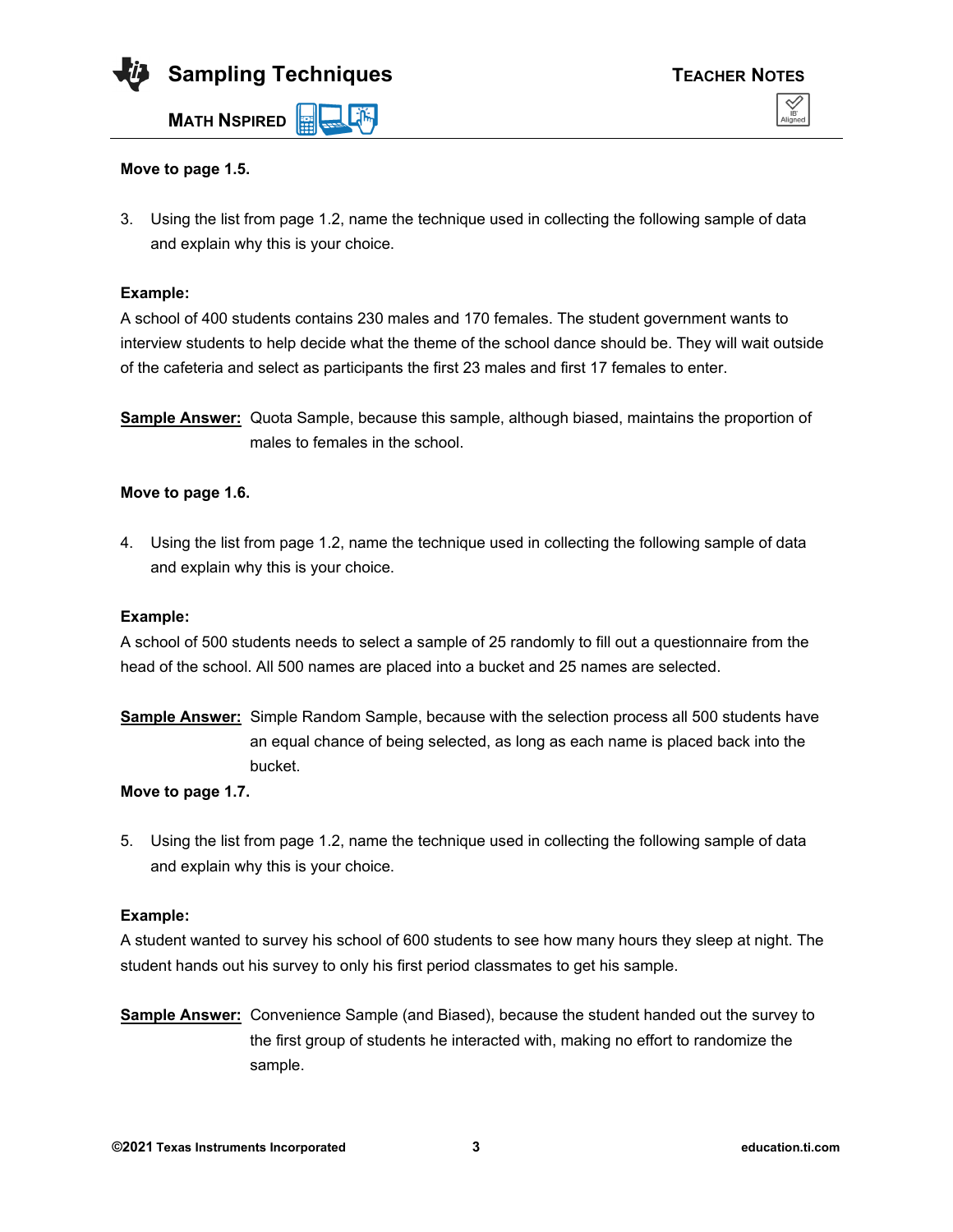

#### **Move to page 1.5.**

3. Using the list from page 1.2, name the technique used in collecting the following sample of data and explain why this is your choice.

#### **Example:**

A school of 400 students contains 230 males and 170 females. The student government wants to interview students to help decide what the theme of the school dance should be. They will wait outside of the cafeteria and select as participants the first 23 males and first 17 females to enter.

**Sample Answer:** Quota Sample, because this sample, although biased, maintains the proportion of males to females in the school.

#### **Move to page 1.6.**

4. Using the list from page 1.2, name the technique used in collecting the following sample of data and explain why this is your choice.

#### **Example:**

A school of 500 students needs to select a sample of 25 randomly to fill out a questionnaire from the head of the school. All 500 names are placed into a bucket and 25 names are selected.

**Sample Answer:** Simple Random Sample, because with the selection process all 500 students have an equal chance of being selected, as long as each name is placed back into the bucket.

#### **Move to page 1.7.**

5. Using the list from page 1.2, name the technique used in collecting the following sample of data and explain why this is your choice.

#### **Example:**

A student wanted to survey his school of 600 students to see how many hours they sleep at night. The student hands out his survey to only his first period classmates to get his sample.

**Sample Answer:** Convenience Sample (and Biased), because the student handed out the survey to the first group of students he interacted with, making no effort to randomize the sample.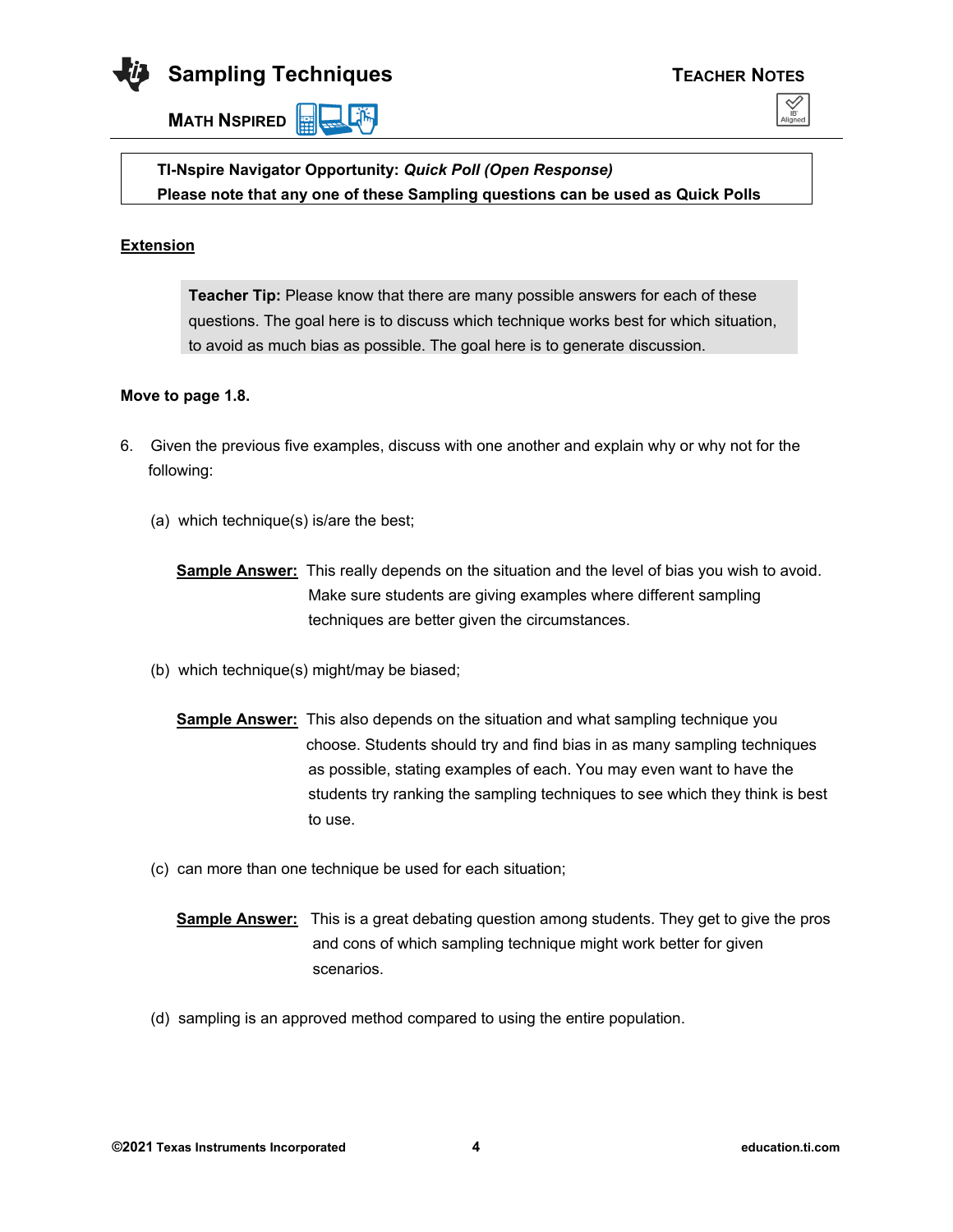

**MATH NSPIRED** 





**TI-Nspire Navigator Opportunity:** *Quick Poll (Open Response)* **Please note that any one of these Sampling questions can be used as Quick Polls**

#### **Extension**

**Teacher Tip:** Please know that there are many possible answers for each of these questions. The goal here is to discuss which technique works best for which situation, to avoid as much bias as possible. The goal here is to generate discussion.

#### **Move to page 1.8.**

- 6. Given the previous five examples, discuss with one another and explain why or why not for the following:
	- (a) which technique(s) is/are the best;
		- **Sample Answer:** This really depends on the situation and the level of bias you wish to avoid. Make sure students are giving examples where different sampling techniques are better given the circumstances.
	- (b) which technique(s) might/may be biased;
		- **Sample Answer:** This also depends on the situation and what sampling technique you choose. Students should try and find bias in as many sampling techniques as possible, stating examples of each. You may even want to have the students try ranking the sampling techniques to see which they think is best to use.
	- (c) can more than one technique be used for each situation;
		- **Sample Answer:** This is a great debating question among students. They get to give the pros and cons of which sampling technique might work better for given scenarios.
	- (d) sampling is an approved method compared to using the entire population.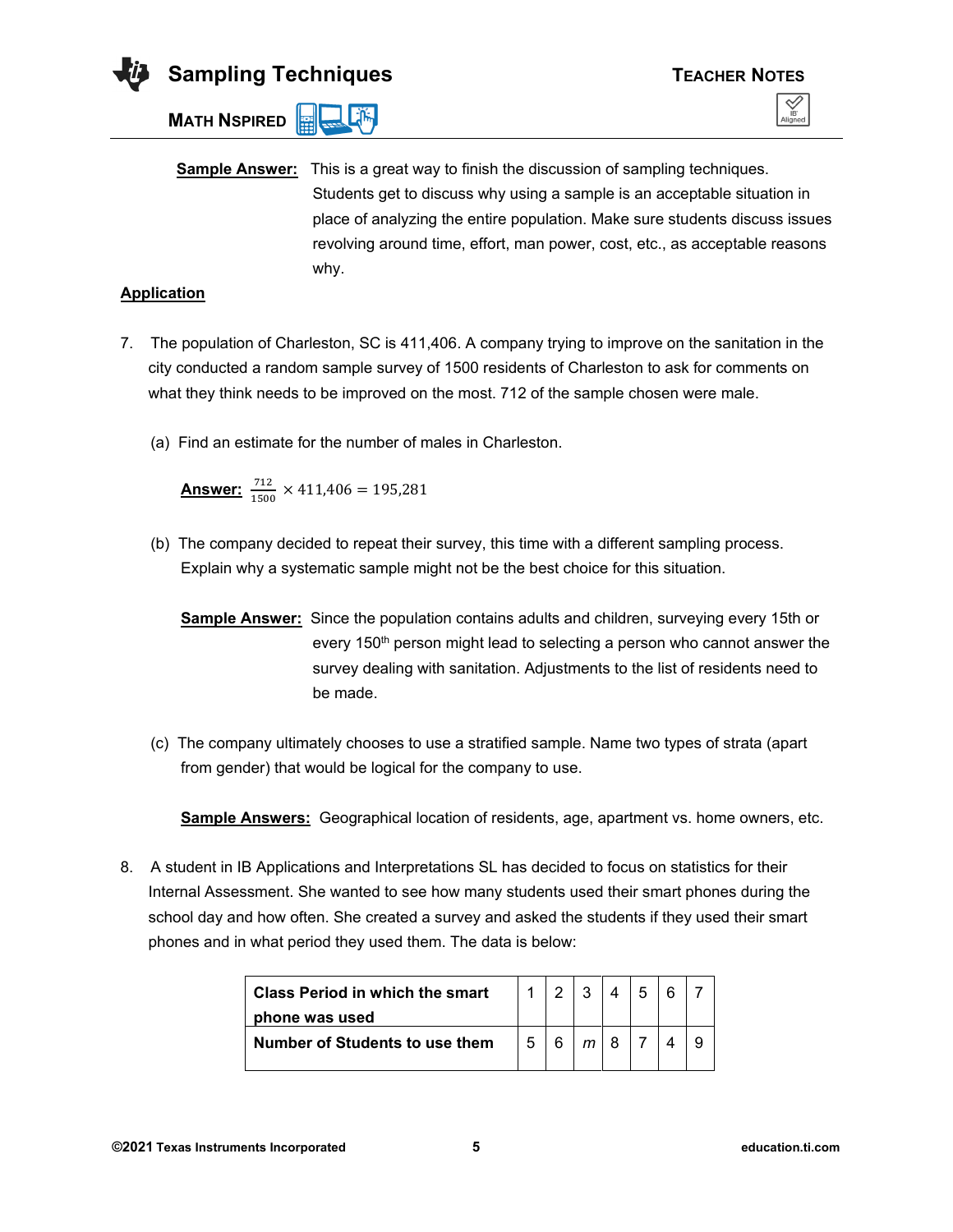

**MATH NSPIRED** 

**Sample Answer:** This is a great way to finish the discussion of sampling techniques. Students get to discuss why using a sample is an acceptable situation in place of analyzing the entire population. Make sure students discuss issues revolving around time, effort, man power, cost, etc., as acceptable reasons why.

#### **Application**

- 7. The population of Charleston, SC is 411,406. A company trying to improve on the sanitation in the city conducted a random sample survey of 1500 residents of Charleston to ask for comments on what they think needs to be improved on the most. 712 of the sample chosen were male.
	- (a) Find an estimate for the number of males in Charleston.

**<u>Answer:**  $\frac{712}{1500} \times 411,406 = 195,281$ </u>

- (b) The company decided to repeat their survey, this time with a different sampling process. Explain why a systematic sample might not be the best choice for this situation.
	- **Sample Answer:** Since the population contains adults and children, surveying every 15th or every 150<sup>th</sup> person might lead to selecting a person who cannot answer the survey dealing with sanitation. Adjustments to the list of residents need to be made.
- (c) The company ultimately chooses to use a stratified sample. Name two types of strata (apart from gender) that would be logical for the company to use.

**Sample Answers:** Geographical location of residents, age, apartment vs. home owners, etc.

8. A student in IB Applications and Interpretations SL has decided to focus on statistics for their Internal Assessment. She wanted to see how many students used their smart phones during the school day and how often. She created a survey and asked the students if they used their smart phones and in what period they used them. The data is below:

| Class Period in which the smart |   | ◠ |  |  |
|---------------------------------|---|---|--|--|
| phone was used                  |   |   |  |  |
| Number of Students to use them  | 5 |   |  |  |